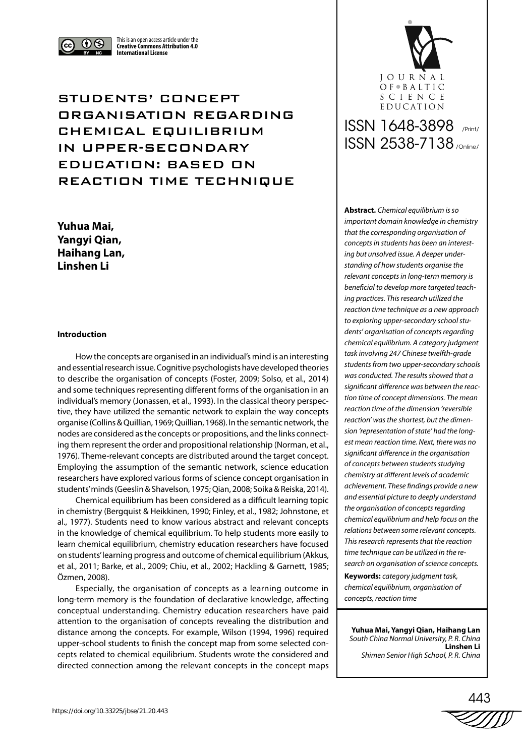



STUDENTS' CONCEPT ORGANISATION REGARDING CHEMICAL EQUILIBRIUM IN UPPER-SECONDARY EDUCATION: BASED ON REACTION TIME TECHNIQUE

This is an open access article under the **Creative Commons Attribution 4.0 International License**

**Yuhua Mai, Yangyi Qian, Haihang Lan, Linshen Li**

# **Introduction**

How the concepts are organised in an individual's mind is an interesting and essential research issue. Cognitive psychologists have developed theories to describe the organisation of concepts (Foster, 2009; Solso, et al., 2014) and some techniques representing different forms of the organisation in an individual's memory (Jonassen, et al., 1993). In the classical theory perspective, they have utilized the semantic network to explain the way concepts organise (Collins & Quillian, 1969; Quillian, 1968). In the semantic network, the nodes are considered as the concepts or propositions, and the links connecting them represent the order and propositional relationship (Norman, et al., 1976). Theme-relevant concepts are distributed around the target concept. Employing the assumption of the semantic network, science education researchers have explored various forms of science concept organisation in students' minds (Geeslin & Shavelson, 1975; Qian, 2008; Soika & Reiska, 2014).

Chemical equilibrium has been considered as a difficult learning topic in chemistry (Bergquist & Heikkinen, 1990; Finley, et al., 1982; Johnstone, et al., 1977). Students need to know various abstract and relevant concepts in the knowledge of chemical equilibrium. To help students more easily to learn chemical equilibrium, chemistry education researchers have focused on students' learning progress and outcome of chemical equilibrium (Akkus, et al., 2011; Barke, et al., 2009; Chiu, et al., 2002; Hackling & Garnett, 1985; Özmen, 2008).

Especially, the organisation of concepts as a learning outcome in long-term memory is the foundation of declarative knowledge, affecting conceptual understanding. Chemistry education researchers have paid attention to the organisation of concepts revealing the distribution and distance among the concepts. For example, Wilson (1994, 1996) required upper-school students to finish the concept map from some selected concepts related to chemical equilibrium. Students wrote the considered and directed connection among the relevant concepts in the concept maps

# EDUCATION ISSN 1648-3898 /Print/ ISSN 2538-7138 /Online/

**JOURNAL** OF BALTIC SCIENCE

**Abstract.** *Chemical equilibrium is so important domain knowledge in chemistry that the corresponding organisation of concepts in students has been an interesting but unsolved issue. A deeper understanding of how students organise the relevant concepts in long-term memory is beneficial to develop more targeted teaching practices. This research utilized the reaction time technique as a new approach to exploring upper-secondary school students' organisation of concepts regarding chemical equilibrium. A category judgment task involving 247 Chinese twelfth-grade students from two upper-secondary schools was conducted. The results showed that a significant difference was between the reaction time of concept dimensions. The mean reaction time of the dimension 'reversible reaction' was the shortest, but the dimension 'representation of state' had the longest mean reaction time. Next, there was no significant difference in the organisation of concepts between students studying chemistry at different levels of academic achievement. These findings provide a new and essential picture to deeply understand the organisation of concepts regarding chemical equilibrium and help focus on the relations between some relevant concepts. This research represents that the reaction time technique can be utilized in the research on organisation of science concepts.*

**Keywords:** *category judgment task, chemical equilibrium, organisation of concepts, reaction time*

**Yuhua Mai, Yangyi Qian, Haihang Lan** *South China Normal University, P. R. China* **Linshen Li** *Shimen Senior High School, P. R. China*

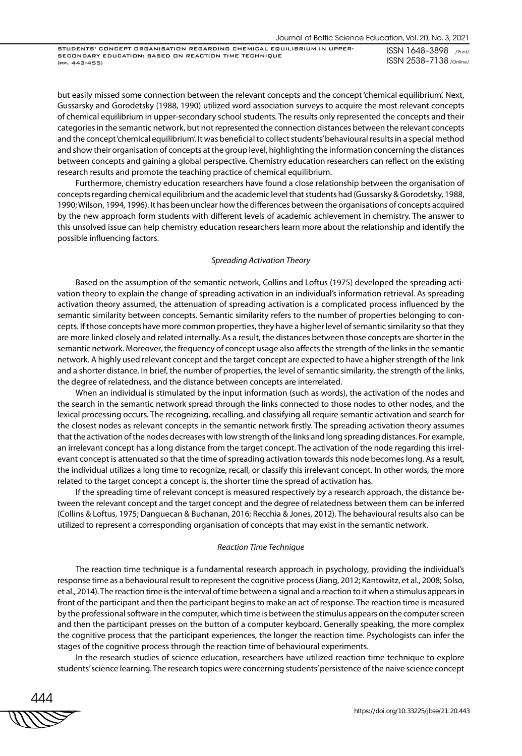STUDENTS' CONCEPT ORGANISATION REGARDING CHEMICAL EQUILIBRIUM IN UPPER-SECONDARY EDUCATION: BASED ON REACTION TIME TECHNIQUE (pp. 443-455)

ISSN 1648–3898 /Print/ ISSN 2538–7138 /Online/

but easily missed some connection between the relevant concepts and the concept 'chemical equilibrium'. Next, Gussarsky and Gorodetsky (1988, 1990) utilized word association surveys to acquire the most relevant concepts of chemical equilibrium in upper-secondary school students. The results only represented the concepts and their categories in the semantic network, but not represented the connection distances between the relevant concepts and the concept 'chemical equilibrium'. It was beneficial to collect students' behavioural results in a special method and show their organisation of concepts at the group level, highlighting the information concerning the distances between concepts and gaining a global perspective. Chemistry education researchers can reflect on the existing research results and promote the teaching practice of chemical equilibrium.

Furthermore, chemistry education researchers have found a close relationship between the organisation of concepts regarding chemical equilibrium and the academic level that students had (Gussarsky & Gorodetsky, 1988, 1990; Wilson, 1994, 1996). It has been unclear how the differences between the organisations of concepts acquired by the new approach form students with different levels of academic achievement in chemistry. The answer to this unsolved issue can help chemistry education researchers learn more about the relationship and identify the possible influencing factors.

#### *Spreading Activation Theory*

Based on the assumption of the semantic network, Collins and Loftus (1975) developed the spreading activation theory to explain the change of spreading activation in an individual's information retrieval. As spreading activation theory assumed, the attenuation of spreading activation is a complicated process influenced by the semantic similarity between concepts. Semantic similarity refers to the number of properties belonging to concepts. If those concepts have more common properties, they have a higher level of semantic similarity so that they are more linked closely and related internally. As a result, the distances between those concepts are shorter in the semantic network. Moreover, the frequency of concept usage also affects the strength of the links in the semantic network. A highly used relevant concept and the target concept are expected to have a higher strength of the link and a shorter distance. In brief, the number of properties, the level of semantic similarity, the strength of the links, the degree of relatedness, and the distance between concepts are interrelated.

When an individual is stimulated by the input information (such as words), the activation of the nodes and the search in the semantic network spread through the links connected to those nodes to other nodes, and the lexical processing occurs. The recognizing, recalling, and classifying all require semantic activation and search for the closest nodes as relevant concepts in the semantic network firstly. The spreading activation theory assumes that the activation of the nodes decreases with low strength of the links and long spreading distances. For example, an irrelevant concept has a long distance from the target concept. The activation of the node regarding this irrelevant concept is attenuated so that the time of spreading activation towards this node becomes long. As a result, the individual utilizes a long time to recognize, recall, or classify this irrelevant concept. In other words, the more related to the target concept a concept is, the shorter time the spread of activation has.

If the spreading time of relevant concept is measured respectively by a research approach, the distance between the relevant concept and the target concept and the degree of relatedness between them can be inferred (Collins & Loftus, 1975; Danguecan & Buchanan, 2016; Recchia & Jones, 2012). The behavioural results also can be utilized to represent a corresponding organisation of concepts that may exist in the semantic network.

## *Reaction Time Technique*

The reaction time technique is a fundamental research approach in psychology, providing the individual's response time as a behavioural result to represent the cognitive process (Jiang, 2012; Kantowitz, et al., 2008; Solso, et al., 2014). The reaction time is the interval of time between a signal and a reaction to it when a stimulus appears in front of the participant and then the participant begins to make an act of response. The reaction time is measured by the professional software in the computer, which time is between the stimulus appears on the computer screen and then the participant presses on the button of a computer keyboard. Generally speaking, the more complex the cognitive process that the participant experiences, the longer the reaction time. Psychologists can infer the stages of the cognitive process through the reaction time of behavioural experiments.

In the research studies of science education, researchers have utilized reaction time technique to explore students' science learning. The research topics were concerning students' persistence of the naive science concept

444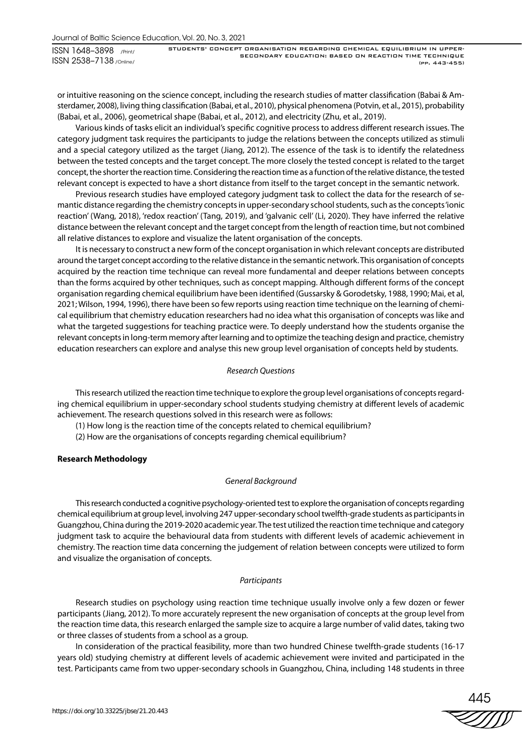or intuitive reasoning on the science concept, including the research studies of matter classification (Babai & Amsterdamer, 2008), living thing classification (Babai, et al., 2010), physical phenomena (Potvin, et al., 2015), probability (Babai, et al., 2006), geometrical shape (Babai, et al., 2012), and electricity (Zhu, et al., 2019).

Various kinds of tasks elicit an individual's specific cognitive process to address different research issues. The category judgment task requires the participants to judge the relations between the concepts utilized as stimuli and a special category utilized as the target (Jiang, 2012). The essence of the task is to identify the relatedness between the tested concepts and the target concept. The more closely the tested concept is related to the target concept, the shorter the reaction time. Considering the reaction time as a function of the relative distance, the tested relevant concept is expected to have a short distance from itself to the target concept in the semantic network.

Previous research studies have employed category judgment task to collect the data for the research of semantic distance regarding the chemistry concepts in upper-secondary school students, such as the concepts 'ionic reaction' (Wang, 2018), 'redox reaction' (Tang, 2019), and 'galvanic cell' (Li, 2020). They have inferred the relative distance between the relevant concept and the target concept from the length of reaction time, but not combined all relative distances to explore and visualize the latent organisation of the concepts.

It is necessary to construct a new form of the concept organisation in which relevant concepts are distributed around the target concept according to the relative distance in the semantic network. This organisation of concepts acquired by the reaction time technique can reveal more fundamental and deeper relations between concepts than the forms acquired by other techniques, such as concept mapping. Although different forms of the concept organisation regarding chemical equilibrium have been identified (Gussarsky & Gorodetsky, 1988, 1990; Mai, et al, 2021; Wilson, 1994, 1996), there have been so few reports using reaction time technique on the learning of chemical equilibrium that chemistry education researchers had no idea what this organisation of concepts was like and what the targeted suggestions for teaching practice were. To deeply understand how the students organise the relevant concepts in long-term memory after learning and to optimize the teaching design and practice, chemistry education researchers can explore and analyse this new group level organisation of concepts held by students.

## *Research Questions*

This research utilized the reaction time technique to explore the group level organisations of concepts regarding chemical equilibrium in upper-secondary school students studying chemistry at different levels of academic achievement. The research questions solved in this research were as follows:

(1) How long is the reaction time of the concepts related to chemical equilibrium?

(2) How are the organisations of concepts regarding chemical equilibrium?

# **Research Methodology**

#### *General Background*

This research conducted a cognitive psychology-oriented test to explore the organisation of concepts regarding chemical equilibrium at group level, involving 247 upper-secondary school twelfth-grade students as participants in Guangzhou, China during the 2019-2020 academic year. The test utilized the reaction time technique and category judgment task to acquire the behavioural data from students with different levels of academic achievement in chemistry. The reaction time data concerning the judgement of relation between concepts were utilized to form and visualize the organisation of concepts.

#### *Participants*

Research studies on psychology using reaction time technique usually involve only a few dozen or fewer participants (Jiang, 2012). To more accurately represent the new organisation of concepts at the group level from the reaction time data, this research enlarged the sample size to acquire a large number of valid dates, taking two or three classes of students from a school as a group.

In consideration of the practical feasibility, more than two hundred Chinese twelfth-grade students (16-17 years old) studying chemistry at different levels of academic achievement were invited and participated in the test. Participants came from two upper-secondary schools in Guangzhou, China, including 148 students in three

445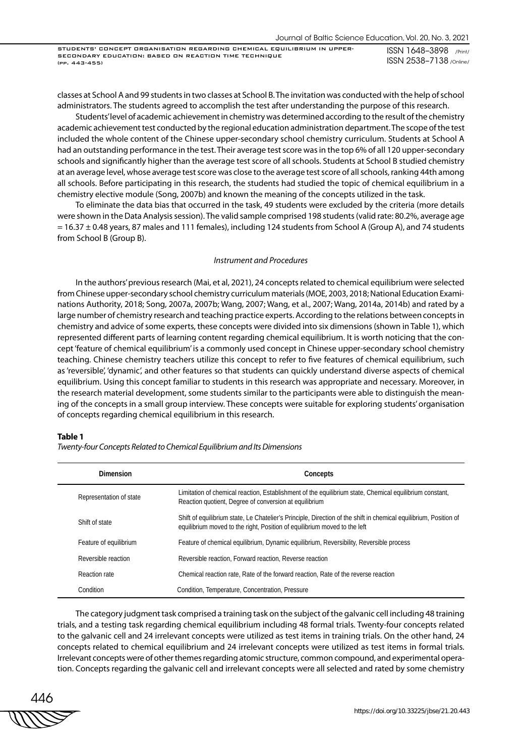classes at School A and 99 students in two classes at School B. The invitation was conducted with the help of school administrators. The students agreed to accomplish the test after understanding the purpose of this research.

Students' level of academic achievement in chemistry was determined according to the result of the chemistry academic achievement test conducted by the regional education administration department. The scope of the test included the whole content of the Chinese upper-secondary school chemistry curriculum. Students at School A had an outstanding performance in the test. Their average test score was in the top 6% of all 120 upper-secondary schools and significantly higher than the average test score of all schools. Students at School B studied chemistry at an average level, whose average test score was close to the average test score of all schools, ranking 44th among all schools. Before participating in this research, the students had studied the topic of chemical equilibrium in a chemistry elective module (Song, 2007b) and known the meaning of the concepts utilized in the task.

To eliminate the data bias that occurred in the task, 49 students were excluded by the criteria (more details were shown in the Data Analysis session). The valid sample comprised 198 students (valid rate: 80.2%, average age  $= 16.37 \pm 0.48$  years, 87 males and 111 females), including 124 students from School A (Group A), and 74 students from School B (Group B).

## *Instrument and Procedures*

In the authors' previous research (Mai, et al, 2021), 24 concepts related to chemical equilibrium were selected from Chinese upper-secondary school chemistry curriculum materials (MOE, 2003, 2018; National Education Examinations Authority, 2018; Song, 2007a, 2007b; Wang, 2007; Wang, et al., 2007; Wang, 2014a, 2014b) and rated by a large number of chemistry research and teaching practice experts. According to the relations between concepts in chemistry and advice of some experts, these concepts were divided into six dimensions (shown in Table 1), which represented different parts of learning content regarding chemical equilibrium. It is worth noticing that the concept 'feature of chemical equilibrium' is a commonly used concept in Chinese upper-secondary school chemistry teaching. Chinese chemistry teachers utilize this concept to refer to five features of chemical equilibrium, such as 'reversible', 'dynamic', and other features so that students can quickly understand diverse aspects of chemical equilibrium. Using this concept familiar to students in this research was appropriate and necessary. Moreover, in the research material development, some students similar to the participants were able to distinguish the meaning of the concepts in a small group interview. These concepts were suitable for exploring students' organisation of concepts regarding chemical equilibrium in this research.

## **Table 1**

| <b>Dimension</b>        | Concepts                                                                                                                                                                                       |
|-------------------------|------------------------------------------------------------------------------------------------------------------------------------------------------------------------------------------------|
| Representation of state | Limitation of chemical reaction, Establishment of the equilibrium state, Chemical equilibrium constant,<br>Reaction quotient, Degree of conversion at equilibrium                              |
| Shift of state          | Shift of equilibrium state, Le Chatelier's Principle, Direction of the shift in chemical equilibrium, Position of<br>equilibrium moved to the right. Position of equilibrium moved to the left |
| Feature of equilibrium  | Feature of chemical equilibrium, Dynamic equilibrium, Reversibility, Reversible process                                                                                                        |
| Reversible reaction     | Reversible reaction. Forward reaction. Reverse reaction                                                                                                                                        |
| Reaction rate           | Chemical reaction rate, Rate of the forward reaction, Rate of the reverse reaction                                                                                                             |
| Condition               | Condition, Temperature, Concentration, Pressure                                                                                                                                                |

*Twenty-four Concepts Related to Chemical Equilibrium and Its Dimensions*

The category judgment task comprised a training task on the subject of the galvanic cell including 48 training trials, and a testing task regarding chemical equilibrium including 48 formal trials. Twenty-four concepts related to the galvanic cell and 24 irrelevant concepts were utilized as test items in training trials. On the other hand, 24 concepts related to chemical equilibrium and 24 irrelevant concepts were utilized as test items in formal trials. Irrelevant concepts were of other themes regarding atomic structure, common compound, and experimental operation. Concepts regarding the galvanic cell and irrelevant concepts were all selected and rated by some chemistry

446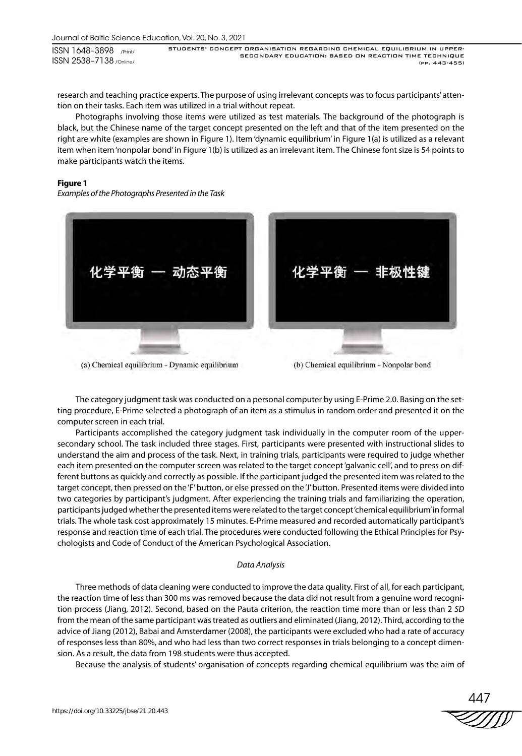ISSN 1648–3898 /Print/ ISSN 2538–7138 /Online/

STUDENTS' CONCEPT ORGANISATION REGARDING CHEMICAL EQUILIBRIUM IN UPPER-SECONDARY EDUCATION: BASED ON REACTION TIME TECHNIQUE (pp. 443-455)

research and teaching practice experts. The purpose of using irrelevant concepts was to focus participants' attention on their tasks. Each item was utilized in a trial without repeat.

Photographs involving those items were utilized as test materials. The background of the photograph is black, but the Chinese name of the target concept presented on the left and that of the item presented on the right are white (examples are shown in Figure 1). Item 'dynamic equilibrium' in Figure 1(a) is utilized as a relevant item when item 'nonpolar bond' in Figure 1(b) is utilized as an irrelevant item. The Chinese font size is 54 points to make participants watch the items.

# **Figure 1**

*Examples of the Photographs Presented in the Task*



(a) Chemical equilibrium - Dynamic equilibrium

The category judgment task was conducted on a personal computer by using E-Prime 2.0. Basing on the setting procedure, E-Prime selected a photograph of an item as a stimulus in random order and presented it on the computer screen in each trial.

Participants accomplished the category judgment task individually in the computer room of the uppersecondary school. The task included three stages. First, participants were presented with instructional slides to understand the aim and process of the task. Next, in training trials, participants were required to judge whether each item presented on the computer screen was related to the target concept 'galvanic cell', and to press on different buttons as quickly and correctly as possible. If the participant judged the presented item was related to the target concept, then pressed on the 'F' button, or else pressed on the 'J' button. Presented items were divided into two categories by participant's judgment. After experiencing the training trials and familiarizing the operation, participants judged whether the presented items were related to the target concept 'chemical equilibrium' in formal trials. The whole task cost approximately 15 minutes. E-Prime measured and recorded automatically participant's response and reaction time of each trial. The procedures were conducted following the Ethical Principles for Psychologists and Code of Conduct of the American Psychological Association.

# *Data Analysis*

Three methods of data cleaning were conducted to improve the data quality. First of all, for each participant, the reaction time of less than 300 ms was removed because the data did not result from a genuine word recognition process (Jiang, 2012). Second, based on the Pauta criterion, the reaction time more than or less than 2 *SD* from the mean of the same participant was treated as outliers and eliminated (Jiang, 2012). Third, according to the advice of Jiang (2012), Babai and Amsterdamer (2008), the participants were excluded who had a rate of accuracy of responses less than 80%, and who had less than two correct responses in trials belonging to a concept dimension. As a result, the data from 198 students were thus accepted.

Because the analysis of students' organisation of concepts regarding chemical equilibrium was the aim of

447

<sup>(</sup>b) Chemical equilibrium - Nonpolar bond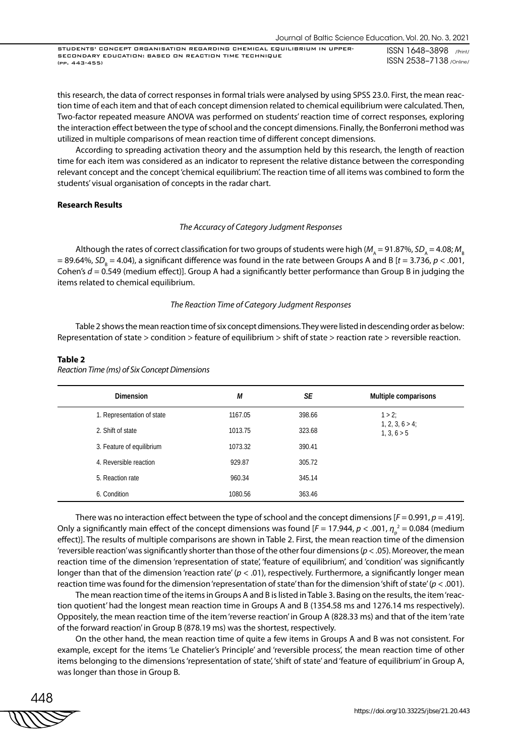this research, the data of correct responses in formal trials were analysed by using SPSS 23.0. First, the mean reaction time of each item and that of each concept dimension related to chemical equilibrium were calculated. Then, Two-factor repeated measure ANOVA was performed on students' reaction time of correct responses, exploring the interaction effect between the type of school and the concept dimensions. Finally, the Bonferroni method was utilized in multiple comparisons of mean reaction time of different concept dimensions.

According to spreading activation theory and the assumption held by this research, the length of reaction time for each item was considered as an indicator to represent the relative distance between the corresponding relevant concept and the concept 'chemical equilibrium'. The reaction time of all items was combined to form the students' visual organisation of concepts in the radar chart.

## **Research Results**

# *The Accuracy of Category Judgment Responses*

Although the rates of correct classification for two groups of students were high ( $M_A = 91.87\%$ ,  $SD_A = 4.08$ ;  $M_B$ = 89.64%, SD<sub>B</sub> = 4.04), a significant difference was found in the rate between Groups A and B [*t* = 3.736, *p <* .001, Cohen's *d* = 0.549 (medium effect)]. Group A had a significantly better performance than Group B in judging the items related to chemical equilibrium.

## *The Reaction Time of Category Judgment Responses*

Table 2 shows the mean reaction time of six concept dimensions. They were listed in descending order as below: Representation of state > condition > feature of equilibrium > shift of state > reaction rate > reversible reaction.

## **Table 2**

*Reaction Time (ms) of Six Concept Dimensions*

| <b>Dimension</b>           | М       | SE     | Multiple comparisons              |
|----------------------------|---------|--------|-----------------------------------|
| 1. Representation of state | 1167.05 | 398.66 | $1 > 2$ ;                         |
| 2. Shift of state          | 1013.75 | 323.68 | $1, 2, 3, 6 > 4$ ;<br>1, 3, 6 > 5 |
| 3. Feature of equilibrium  | 1073.32 | 390.41 |                                   |
| 4. Reversible reaction     | 929.87  | 305.72 |                                   |
| 5. Reaction rate           | 960.34  | 345.14 |                                   |
| 6. Condition               | 1080.56 | 363.46 |                                   |

There was no interaction effect between the type of school and the concept dimensions [*F* = 0.991, *p* = .419]. Only a significantly main effect of the concept dimensions was found [ $F = 17.944$ ,  $p < .001$ ,  $\eta_{\rho}^{\,\,2} = 0.084$  (medium effect)]. The results of multiple comparisons are shown in Table 2. First, the mean reaction time of the dimension 'reversible reaction' was significantly shorter than those of the other four dimensions (*p* < .05). Moreover, the mean reaction time of the dimension 'representation of state', 'feature of equilibrium', and 'condition' was significantly longer than that of the dimension 'reaction rate' ( $p < .01$ ), respectively. Furthermore, a significantly longer mean reaction time was found for the dimension 'representation of state' than for the dimension 'shift of state' (*p* < .001).

The mean reaction time of the items in Groups A and B is listed in Table 3. Basing on the results, the item 'reaction quotient' had the longest mean reaction time in Groups A and B (1354.58 ms and 1276.14 ms respectively). Oppositely, the mean reaction time of the item 'reverse reaction' in Group A (828.33 ms) and that of the item 'rate of the forward reaction' in Group B (878.19 ms) was the shortest, respectively.

On the other hand, the mean reaction time of quite a few items in Groups A and B was not consistent. For example, except for the items 'Le Chatelier's Principle' and 'reversible process', the mean reaction time of other items belonging to the dimensions 'representation of state', 'shift of state' and 'feature of equilibrium' in Group A, was longer than those in Group B.

$$
\begin{matrix}\n 448 \\
\hline\n \text{WW} \\
\end{matrix}
$$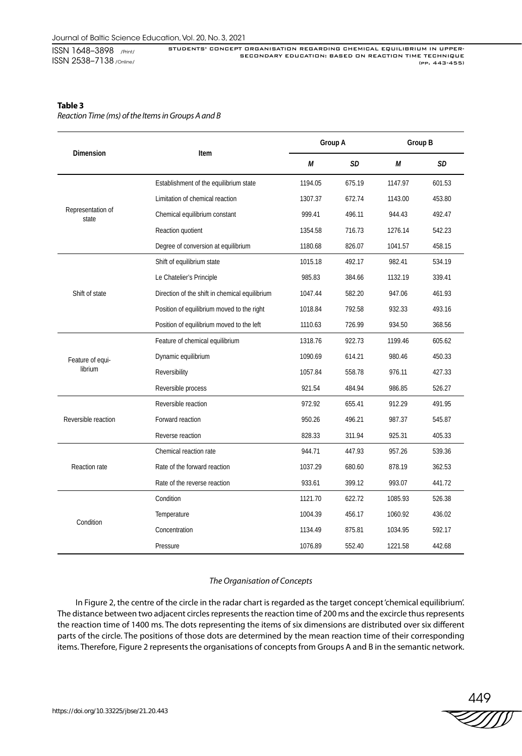ISSN 1648–3898 /Print/ ISSN 2538–7138 /Online/ STUDENTS' CONCEPT ORGANISATION REGARDING CHEMICAL EQUILIBRIUM IN UPPER-SECONDARY EDUCATION: BASED ON REACTION TIME TECHNIQUE (pp. 443-455)

# **Table 3**

*Reaction Time (ms) of the Items in Groups A and B*

|                             |                                                |         | Group A |         | Group B |  |
|-----------------------------|------------------------------------------------|---------|---------|---------|---------|--|
| <b>Dimension</b>            | Item                                           | М       | SD      | М       | SD      |  |
| Representation of<br>state  | Establishment of the equilibrium state         | 1194.05 | 675.19  | 1147.97 | 601.53  |  |
|                             | Limitation of chemical reaction                | 1307.37 | 672.74  | 1143.00 | 453.80  |  |
|                             | Chemical equilibrium constant                  | 999.41  | 496.11  | 944.43  | 492.47  |  |
|                             | Reaction quotient                              | 1354.58 | 716.73  | 1276.14 | 542.23  |  |
|                             | Degree of conversion at equilibrium            | 1180.68 | 826.07  | 1041.57 | 458.15  |  |
| Shift of state              | Shift of equilibrium state                     | 1015.18 | 492.17  | 982.41  | 534.19  |  |
|                             | Le Chatelier's Principle                       | 985.83  | 384.66  | 1132.19 | 339.41  |  |
|                             | Direction of the shift in chemical equilibrium | 1047.44 | 582.20  | 947.06  | 461.93  |  |
|                             | Position of equilibrium moved to the right     | 1018.84 | 792.58  | 932.33  | 493.16  |  |
|                             | Position of equilibrium moved to the left      | 1110.63 | 726.99  | 934.50  | 368.56  |  |
|                             | Feature of chemical equilibrium                | 1318.76 | 922.73  | 1199.46 | 605.62  |  |
| Feature of equi-<br>librium | Dynamic equilibrium                            | 1090.69 | 614.21  | 980.46  | 450.33  |  |
|                             | Reversibility                                  | 1057.84 | 558.78  | 976.11  | 427.33  |  |
|                             | Reversible process                             | 921.54  | 484.94  | 986.85  | 526.27  |  |
| Reversible reaction         | Reversible reaction                            | 972.92  | 655.41  | 912.29  | 491.95  |  |
|                             | Forward reaction                               | 950.26  | 496.21  | 987.37  | 545.87  |  |
|                             | Reverse reaction                               | 828.33  | 311.94  | 925.31  | 405.33  |  |
| Reaction rate               | Chemical reaction rate                         | 944.71  | 447.93  | 957.26  | 539.36  |  |
|                             | Rate of the forward reaction                   | 1037.29 | 680.60  | 878.19  | 362.53  |  |
|                             | Rate of the reverse reaction                   | 933.61  | 399.12  | 993.07  | 441.72  |  |
| Condition                   | Condition                                      | 1121.70 | 622.72  | 1085.93 | 526.38  |  |
|                             | Temperature                                    | 1004.39 | 456.17  | 1060.92 | 436.02  |  |
|                             | Concentration                                  | 1134.49 | 875.81  | 1034.95 | 592.17  |  |
|                             | Pressure                                       | 1076.89 | 552.40  | 1221.58 | 442.68  |  |

# *The Organisation of Concepts*

In Figure 2, the centre of the circle in the radar chart is regarded as the target concept 'chemical equilibrium'. The distance between two adjacent circles represents the reaction time of 200 ms and the excircle thus represents the reaction time of 1400 ms. The dots representing the items of six dimensions are distributed over six different parts of the circle. The positions of those dots are determined by the mean reaction time of their corresponding items. Therefore, Figure 2 represents the organisations of concepts from Groups A and B in the semantic network.

449<br>ZZZZD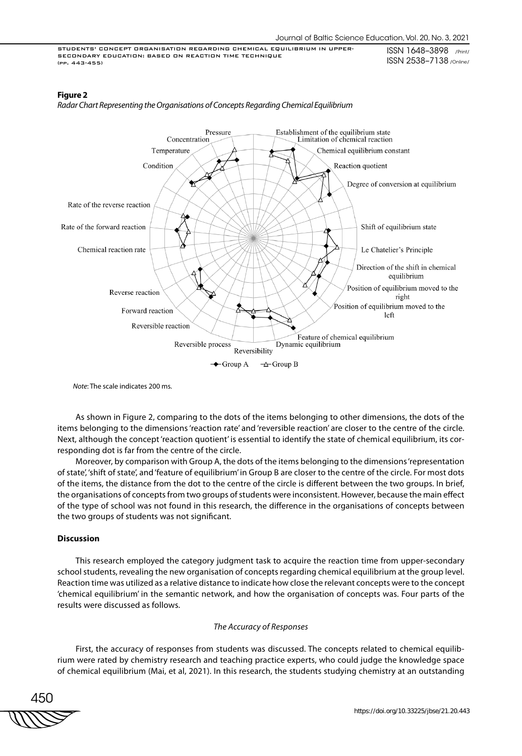# **Figure 2**



*Radar Chart Representing the Organisations of Concepts Regarding Chemical Equilibrium*

*Note*: The scale indicates 200 ms.

As shown in Figure 2, comparing to the dots of the items belonging to other dimensions, the dots of the items belonging to the dimensions 'reaction rate' and 'reversible reaction' are closer to the centre of the circle. Next, although the concept 'reaction quotient' is essential to identify the state of chemical equilibrium, its corresponding dot is far from the centre of the circle.

Moreover, by comparison with Group A, the dots of the items belonging to the dimensions 'representation of state', 'shift of state', and 'feature of equilibrium' in Group B are closer to the centre of the circle. For most dots of the items, the distance from the dot to the centre of the circle is different between the two groups. In brief, the organisations of concepts from two groups of students were inconsistent. However, because the main effect of the type of school was not found in this research, the difference in the organisations of concepts between the two groups of students was not significant.

# **Discussion**

This research employed the category judgment task to acquire the reaction time from upper-secondary school students, revealing the new organisation of concepts regarding chemical equilibrium at the group level. Reaction time was utilized as a relative distance to indicate how close the relevant concepts were to the concept 'chemical equilibrium' in the semantic network, and how the organisation of concepts was. Four parts of the results were discussed as follows.

#### *The Accuracy of Responses*

First, the accuracy of responses from students was discussed. The concepts related to chemical equilibrium were rated by chemistry research and teaching practice experts, who could judge the knowledge space of chemical equilibrium (Mai, et al, 2021). In this research, the students studying chemistry at an outstanding

450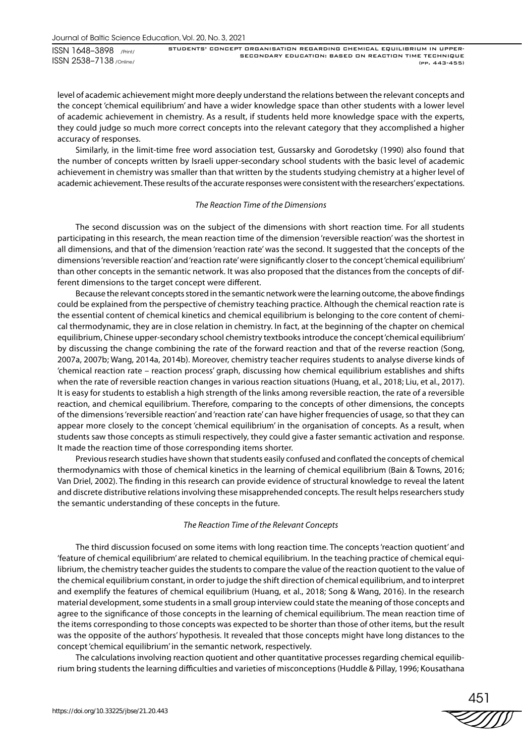Journal of Baltic Science Education, Vol. 20, No. 3, 2021

ISSN 1648–3898 /Print/ ISSN 2538–7138 /Online/ STUDENTS' CONCEPT ORGANISATION REGARDING CHEMICAL EQUILIBRIUM IN UPPER-SECONDARY EDUCATION: BASED ON REACTION TIME TECHNIQUE (pp. 443-455)

level of academic achievement might more deeply understand the relations between the relevant concepts and the concept 'chemical equilibrium' and have a wider knowledge space than other students with a lower level of academic achievement in chemistry. As a result, if students held more knowledge space with the experts, they could judge so much more correct concepts into the relevant category that they accomplished a higher accuracy of responses.

Similarly, in the limit-time free word association test, Gussarsky and Gorodetsky (1990) also found that the number of concepts written by Israeli upper-secondary school students with the basic level of academic achievement in chemistry was smaller than that written by the students studying chemistry at a higher level of academic achievement. These results of the accurate responses were consistent with the researchers' expectations.

# *The Reaction Time of the Dimensions*

The second discussion was on the subject of the dimensions with short reaction time. For all students participating in this research, the mean reaction time of the dimension 'reversible reaction' was the shortest in all dimensions, and that of the dimension 'reaction rate' was the second. It suggested that the concepts of the dimensions 'reversible reaction' and 'reaction rate' were significantly closer to the concept 'chemical equilibrium' than other concepts in the semantic network. It was also proposed that the distances from the concepts of different dimensions to the target concept were different.

Because the relevant concepts stored in the semantic network were the learning outcome, the above findings could be explained from the perspective of chemistry teaching practice. Although the chemical reaction rate is the essential content of chemical kinetics and chemical equilibrium is belonging to the core content of chemical thermodynamic, they are in close relation in chemistry. In fact, at the beginning of the chapter on chemical equilibrium, Chinese upper-secondary school chemistry textbooks introduce the concept 'chemical equilibrium' by discussing the change combining the rate of the forward reaction and that of the reverse reaction (Song, 2007a, 2007b; Wang, 2014a, 2014b). Moreover, chemistry teacher requires students to analyse diverse kinds of 'chemical reaction rate – reaction process' graph, discussing how chemical equilibrium establishes and shifts when the rate of reversible reaction changes in various reaction situations (Huang, et al., 2018; Liu, et al., 2017). It is easy for students to establish a high strength of the links among reversible reaction, the rate of a reversible reaction, and chemical equilibrium. Therefore, comparing to the concepts of other dimensions, the concepts of the dimensions 'reversible reaction' and 'reaction rate' can have higher frequencies of usage, so that they can appear more closely to the concept 'chemical equilibrium' in the organisation of concepts. As a result, when students saw those concepts as stimuli respectively, they could give a faster semantic activation and response. It made the reaction time of those corresponding items shorter.

Previous research studies have shown that students easily confused and conflated the concepts of chemical thermodynamics with those of chemical kinetics in the learning of chemical equilibrium (Bain & Towns, 2016; Van Driel, 2002). The finding in this research can provide evidence of structural knowledge to reveal the latent and discrete distributive relations involving these misapprehended concepts. The result helps researchers study the semantic understanding of these concepts in the future.

# *The Reaction Time of the Relevant Concepts*

The third discussion focused on some items with long reaction time. The concepts 'reaction quotient' and 'feature of chemical equilibrium' are related to chemical equilibrium. In the teaching practice of chemical equilibrium, the chemistry teacher guides the students to compare the value of the reaction quotient to the value of the chemical equilibrium constant, in order to judge the shift direction of chemical equilibrium, and to interpret and exemplify the features of chemical equilibrium (Huang, et al., 2018; Song & Wang, 2016). In the research material development, some students in a small group interview could state the meaning of those concepts and agree to the significance of those concepts in the learning of chemical equilibrium. The mean reaction time of the items corresponding to those concepts was expected to be shorter than those of other items, but the result was the opposite of the authors' hypothesis. It revealed that those concepts might have long distances to the concept 'chemical equilibrium' in the semantic network, respectively.

The calculations involving reaction quotient and other quantitative processes regarding chemical equilibrium bring students the learning difficulties and varieties of misconceptions (Huddle & Pillay, 1996; Kousathana

451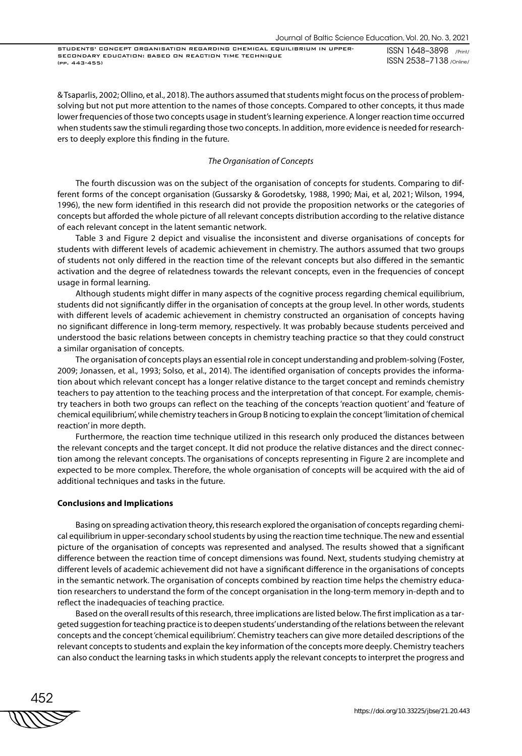STUDENTS' CONCEPT ORGANISATION REGARDING CHEMICAL EQUILIBRIUM IN UPPER-SECONDARY EDUCATION: BASED ON REACTION TIME TECHNIQUE (pp. 443-455)

ISSN 1648–3898 /Print/ ISSN 2538–7138 /Online/

& Tsaparlis, 2002; Ollino, et al., 2018). The authors assumed that students might focus on the process of problemsolving but not put more attention to the names of those concepts. Compared to other concepts, it thus made lower frequencies of those two concepts usage in student's learning experience. A longer reaction time occurred when students saw the stimuli regarding those two concepts. In addition, more evidence is needed for researchers to deeply explore this finding in the future.

# *The Organisation of Concepts*

The fourth discussion was on the subject of the organisation of concepts for students. Comparing to different forms of the concept organisation (Gussarsky & Gorodetsky, 1988, 1990; Mai, et al, 2021; Wilson, 1994, 1996), the new form identified in this research did not provide the proposition networks or the categories of concepts but afforded the whole picture of all relevant concepts distribution according to the relative distance of each relevant concept in the latent semantic network.

Table 3 and Figure 2 depict and visualise the inconsistent and diverse organisations of concepts for students with different levels of academic achievement in chemistry. The authors assumed that two groups of students not only differed in the reaction time of the relevant concepts but also differed in the semantic activation and the degree of relatedness towards the relevant concepts, even in the frequencies of concept usage in formal learning.

Although students might differ in many aspects of the cognitive process regarding chemical equilibrium, students did not significantly differ in the organisation of concepts at the group level. In other words, students with different levels of academic achievement in chemistry constructed an organisation of concepts having no significant difference in long-term memory, respectively. It was probably because students perceived and understood the basic relations between concepts in chemistry teaching practice so that they could construct a similar organisation of concepts.

The organisation of concepts plays an essential role in concept understanding and problem-solving (Foster, 2009; Jonassen, et al., 1993; Solso, et al., 2014). The identified organisation of concepts provides the information about which relevant concept has a longer relative distance to the target concept and reminds chemistry teachers to pay attention to the teaching process and the interpretation of that concept. For example, chemistry teachers in both two groups can reflect on the teaching of the concepts 'reaction quotient' and 'feature of chemical equilibrium', while chemistry teachers in Group B noticing to explain the concept 'limitation of chemical reaction' in more depth.

Furthermore, the reaction time technique utilized in this research only produced the distances between the relevant concepts and the target concept. It did not produce the relative distances and the direct connection among the relevant concepts. The organisations of concepts representing in Figure 2 are incomplete and expected to be more complex. Therefore, the whole organisation of concepts will be acquired with the aid of additional techniques and tasks in the future.

## **Conclusions and Implications**

Basing on spreading activation theory, this research explored the organisation of concepts regarding chemical equilibrium in upper-secondary school students by using the reaction time technique. The new and essential picture of the organisation of concepts was represented and analysed. The results showed that a significant difference between the reaction time of concept dimensions was found. Next, students studying chemistry at different levels of academic achievement did not have a significant difference in the organisations of concepts in the semantic network. The organisation of concepts combined by reaction time helps the chemistry education researchers to understand the form of the concept organisation in the long-term memory in-depth and to reflect the inadequacies of teaching practice.

Based on the overall results of this research, three implications are listed below. The first implication as a targeted suggestion for teaching practice is to deepen students' understanding of the relations between the relevant concepts and the concept 'chemical equilibrium'. Chemistry teachers can give more detailed descriptions of the relevant concepts to students and explain the key information of the concepts more deeply. Chemistry teachers can also conduct the learning tasks in which students apply the relevant concepts to interpret the progress and

452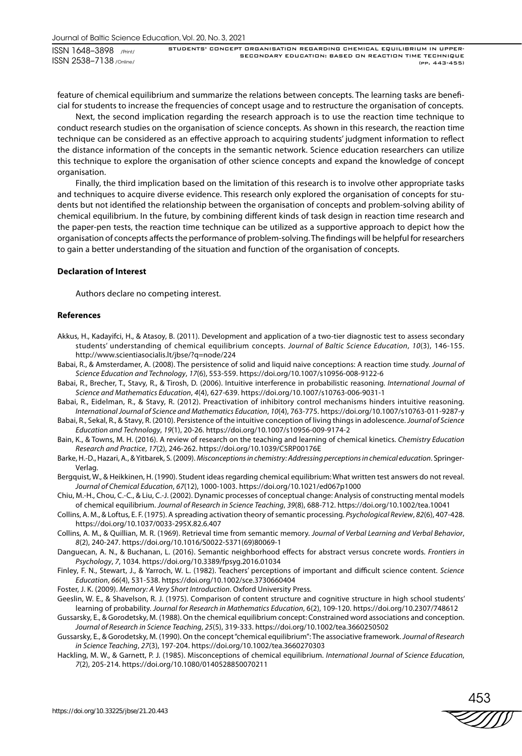feature of chemical equilibrium and summarize the relations between concepts. The learning tasks are beneficial for students to increase the frequencies of concept usage and to restructure the organisation of concepts.

Next, the second implication regarding the research approach is to use the reaction time technique to conduct research studies on the organisation of science concepts. As shown in this research, the reaction time technique can be considered as an effective approach to acquiring students' judgment information to reflect the distance information of the concepts in the semantic network. Science education researchers can utilize this technique to explore the organisation of other science concepts and expand the knowledge of concept organisation.

Finally, the third implication based on the limitation of this research is to involve other appropriate tasks and techniques to acquire diverse evidence. This research only explored the organisation of concepts for students but not identified the relationship between the organisation of concepts and problem-solving ability of chemical equilibrium. In the future, by combining different kinds of task design in reaction time research and the paper-pen tests, the reaction time technique can be utilized as a supportive approach to depict how the organisation of concepts affects the performance of problem-solving. The findings will be helpful for researchers to gain a better understanding of the situation and function of the organisation of concepts.

# **Declaration of Interest**

Authors declare no competing interest.

## **References**

- Akkus, H., Kadayifci, H., & Atasoy, B. (2011). Development and application of a two-tier diagnostic test to assess secondary students' understanding of chemical equilibrium concepts. *Journal of Baltic Science Education*, *10*(3), 146-155. http://www.scientiasocialis.lt/jbse/?q=node/224
- Babai, R., & Amsterdamer, A. (2008). The persistence of solid and liquid naive conceptions: A reaction time study. *Journal of Science Education and Technology*, *17*(6), 553-559. https://doi.org/10.1007/s10956-008-9122-6
- Babai, R., Brecher, T., Stavy, R., & Tirosh, D. (2006). Intuitive interference in probabilistic reasoning. *International Journal of Science and Mathematics Education*, *4*(4), 627-639. https://doi.org/10.1007/s10763-006-9031-1
- Babai, R., Eidelman, R., & Stavy, R. (2012). Preactivation of inhibitory control mechanisms hinders intuitive reasoning. *International Journal of Science and Mathematics Education*, *10*(4), 763-775. https://doi.org/10.1007/s10763-011-9287-y
- Babai, R., Sekal, R., & Stavy, R. (2010). Persistence of the intuitive conception of living things in adolescence. *Journal of Science Education and Technology*, *19*(1), 20-26. https://doi.org/10.1007/s10956-009-9174-2
- Bain, K., & Towns, M. H. (2016). A review of research on the teaching and learning of chemical kinetics. *Chemistry Education Research and Practice*, *17*(2), 246-262. https://doi.org/10.1039/C5RP00176E
- Barke, H.-D., Hazari, A., & Yitbarek, S. (2009). *Misconceptions in chemistry: Addressing perceptions in chemical education*. Springer-Verlag.
- Bergquist, W., & Heikkinen, H. (1990). Student ideas regarding chemical equilibrium: What written test answers do not reveal. *Journal of Chemical Education*, *67*(12), 1000-1003. https://doi.org/10.1021/ed067p1000
- Chiu, M.-H., Chou, C.-C., & Liu, C.-J. (2002). Dynamic processes of conceptual change: Analysis of constructing mental models of chemical equilibrium. *Journal of Research in Science Teaching*, *39*(8), 688-712. https://doi.org/10.1002/tea.10041
- Collins, A. M., & Loftus, E. F. (1975). A spreading activation theory of semantic processing. *Psychological Review*, *82*(6), 407-428. https://doi.org/10.1037/0033-295X.82.6.407
- Collins, A. M., & Quillian, M. R. (1969). Retrieval time from semantic memory. *Journal of Verbal Learning and Verbal Behavior*, *8*(2), 240-247. https://doi.org/10.1016/S0022-5371(69)80069-1
- Danguecan, A. N., & Buchanan, L. (2016). Semantic neighborhood effects for abstract versus concrete words. *Frontiers in Psychology*, *7*, 1034. https://doi.org/10.3389/fpsyg.2016.01034

Finley, F. N., Stewart, J., & Yarroch, W. L. (1982). Teachers' perceptions of important and difficult science content. *Science Education*, *66*(4), 531-538. https://doi.org/10.1002/sce.3730660404

Foster, J. K. (2009). *Memory: A Very Short Introduction*. Oxford University Press.

- Geeslin, W. E., & Shavelson, R. J. (1975). Comparison of content structure and cognitive structure in high school students' learning of probability. *Journal for Research in Mathematics Education*, 6(2), 109-120. https://doi.org/10.2307/748612
- Gussarsky, E., & Gorodetsky, M. (1988). On the chemical equilibrium concept: Constrained word associations and conception. *Journal of Research in Science Teaching*, *25*(5), 319-333. https://doi.org/10.1002/tea.3660250502
- Gussarsky, E., & Gorodetsky, M. (1990). On the concept "chemical equilibrium": The associative framework. *Journal of Research in Science Teaching*, *27*(3), 197-204. https://doi.org/10.1002/tea.3660270303
- Hackling, M. W., & Garnett, P. J. (1985). Misconceptions of chemical equilibrium. *International Journal of Science Education*, *7*(2), 205-214. https://doi.org/10.1080/0140528850070211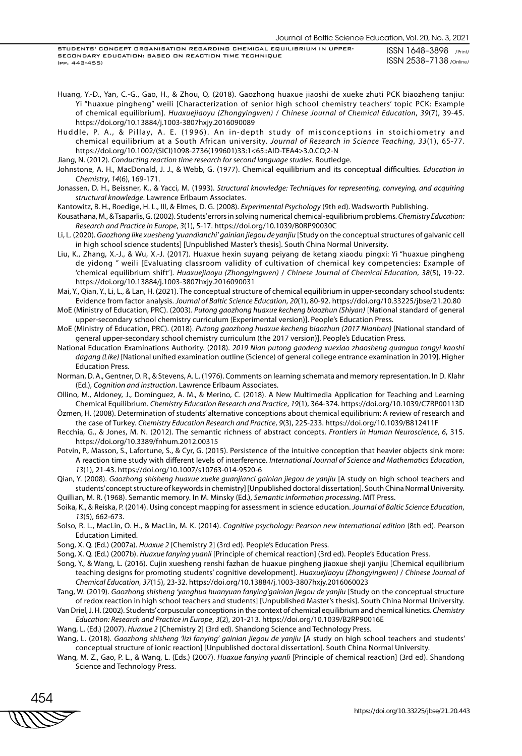STUDENTS' CONCEPT ORGANISATION REGARDING CHEMICAL EQUILIBRIUM IN UPPER-SECONDARY EDUCATION: BASED ON REACTION TIME TECHNIQUE (pp. 443-455)

ISSN 1648–3898 /Print/ ISSN 2538–7138 /Online/

Huang, Y.-D., Yan, C.-G., Gao, H., & Zhou, Q. (2018). Gaozhong huaxue jiaoshi de xueke zhuti PCK biaozheng tanjiu: Yi "huaxue pingheng" weili [Characterization of senior high school chemistry teachers' topic PCK: Example of chemical equilibrium]. *Huaxuejiaoyu (Zhongyingwen)* / *Chinese Journal of Chemical Education*, *39*(7), 39-45. https://doi.org/10.13884/j.1003-3807hxjy.2016090089

Huddle, P. A., & Pillay, A. E. (1996). An in-depth study of misconceptions in stoichiometry and chemical equilibrium at a South African university. *Journal of Research in Science Teaching*, *33*(1), 65-77. https://doi.org/10.1002/(SICI)1098-2736(199601)33:1<65::AID-TEA4>3.0.CO;2-N

Jiang, N. (2012). *Conducting reaction time research for second language studies*. Routledge.

Johnstone, A. H., MacDonald, J. J., & Webb, G. (1977). Chemical equilibrium and its conceptual difficulties. *Education in Chemistry*, *14*(6), 169-171.

Jonassen, D. H., Beissner, K., & Yacci, M. (1993). *Structural knowledge: Techniques for representing, conveying, and acquiring structural knowledge*. Lawrence Erlbaum Associates.

Kantowitz, B. H., Roedige, H. L., III, & Elmes, D. G. (2008). *Experimental Psychology* (9th ed). Wadsworth Publishing.

Kousathana, M., & Tsaparlis, G. (2002). Students' errors in solving numerical chemical-equilibrium problems. *Chemistry Education: Research and Practice in Europe*, *3*(1), 5-17. https://doi.org/10.1039/B0RP90030C

Li, L. (2020). *Gaozhong like xuesheng 'yuandianchi' gainian jiegou de yanjiu* [Study on the conceptual structures of galvanic cell in high school science students] [Unpublished Master's thesis]. South China Normal University.

Liu, K., Zhang, X.-J., & Wu, X.-J. (2017). Huaxue hexin suyang peiyang de ketang xiaodu pingxi: Yi "huaxue pingheng de yidong " weili [Evaluating classroom validity of cultivation of chemical key competencies: Example of 'chemical equilibrium shift']. *Huaxuejiaoyu (Zhongyingwen)* / *Chinese Journal of Chemical Education*, *38*(5), 19-22. https://doi.org/10.13884/j.1003-3807hxjy.2016090031

Mai, Y., Qian, Y., Li, L., & Lan, H. (2021). The conceptual structure of chemical equilibrium in upper-secondary school students: Evidence from factor analysis. *Journal of Baltic Science Education*, *20*(1), 80-92. https://doi.org/10.33225/jbse/21.20.80

MoE (Ministry of Education, PRC). (2003). *Putong gaozhong huaxue kecheng biaozhun (Shiyan)* [National standard of general upper-secondary school chemistry curriculum (Experimental version)]. People's Education Press.

MoE (Ministry of Education, PRC). (2018). *Putong gaozhong huaxue kecheng biaozhun (2017 Nianban)* [National standard of general upper-secondary school chemistry curriculum (the 2017 version)]. People's Education Press.

National Education Examinations Authority. (2018). *2019 Nian putong gaodeng xuexiao zhaosheng quanguo tongyi kaoshi dagang (Like)* [National unified examination outline (Science) of general college entrance examination in 2019]. Higher Education Press.

Norman, D. A., Gentner, D. R., & Stevens, A. L. (1976). Comments on learning schemata and memory representation. In D. Klahr (Ed.), *Cognition and instruction*. Lawrence Erlbaum Associates.

Ollino, M., Aldoney, J., Domínguez, A. M., & Merino, C. (2018). A New Multimedia Application for Teaching and Learning Chemical Equilibrium. *Chemistry Education Research and Practice*, *19*(1), 364-374. https://doi.org/10.1039/C7RP00113D

Özmen, H. (2008). Determination of students' alternative conceptions about chemical equilibrium: A review of research and the case of Turkey. *Chemistry Education Research and Practice*, *9*(3), 225-233. https://doi.org/10.1039/B812411F

Recchia, G., & Jones, M. N. (2012). The semantic richness of abstract concepts. *Frontiers in Human Neuroscience*, *6*, 315. https://doi.org/10.3389/fnhum.2012.00315

Potvin, P., Masson, S., Lafortune, S., & Cyr, G. (2015). Persistence of the intuitive conception that heavier objects sink more: A reaction time study with different levels of interference. *International Journal of Science and Mathematics Education*, *13*(1), 21-43. https://doi.org/10.1007/s10763-014-9520-6

Qian, Y. (2008). *Gaozhong shisheng huaxue xueke guanjianci gainian jiegou de yanjiu* [A study on high school teachers and students' concept structure of keywords in chemistry] [Unpublished doctoral dissertation]. South China Normal University. Quillian, M. R. (1968). Semantic memory. In M. Minsky (Ed.), *Semantic information processing*. MIT Press.

Soika, K., & Reiska, P. (2014). Using concept mapping for assessment in science education. *Journal of Baltic Science Education*, *13*(5), 662-673.

Solso, R. L., MacLin, O. H., & MacLin, M. K. (2014). *Cognitive psychology: Pearson new international edition* (8th ed). Pearson Education Limited.

Song, X. Q. (Ed.) (2007a). *Huaxue 2* [Chemistry 2] (3rd ed). People's Education Press.

Song, X. Q. (Ed.) (2007b). *Huaxue fanying yuanli* [Principle of chemical reaction] (3rd ed). People's Education Press.

Song, Y., & Wang, L. (2016). Cujin xuesheng renshi fazhan de huaxue pingheng jiaoxue sheji yanjiu [Chemical equilibrium teaching designs for promoting students' cognitive development]. *Huaxuejiaoyu (Zhongyingwen)* / *Chinese Journal of Chemical Education*, *37*(15), 23-32. https://doi.org/10.13884/j.1003-3807hxjy.2016060023

Tang, W. (2019). *Gaozhong shisheng 'yanghua huanyuan fanying'gainian jiegou de yanjiu* [Study on the conceptual structure of redox reaction in high school teachers and students] [Unpublished Master's thesis]. South China Normal University.

Van Driel, J. H. (2002). Students' corpuscular conceptions in the context of chemical equilibrium and chemical kinetics. *Chemistry Education: Research and Practice in Europe*, *3*(2), 201-213. https://doi.org/10.1039/B2RP90016E

Wang, L. (Ed.) (2007). *Huaxue 2* [Chemistry 2] (3rd ed). Shandong Science and Technology Press.

Wang, L. (2018). *Gaozhong shisheng 'lizi fanying' gainian jiegou de yanjiu* [A study on high school teachers and students' conceptual structure of ionic reaction] [Unpublished doctoral dissertation]. South China Normal University.

Wang, M. Z., Gao, P. L., & Wang, L. (Eds.) (2007). *Huaxue fanying yuanli* [Principle of chemical reaction] (3rd ed). Shandong Science and Technology Press.

454